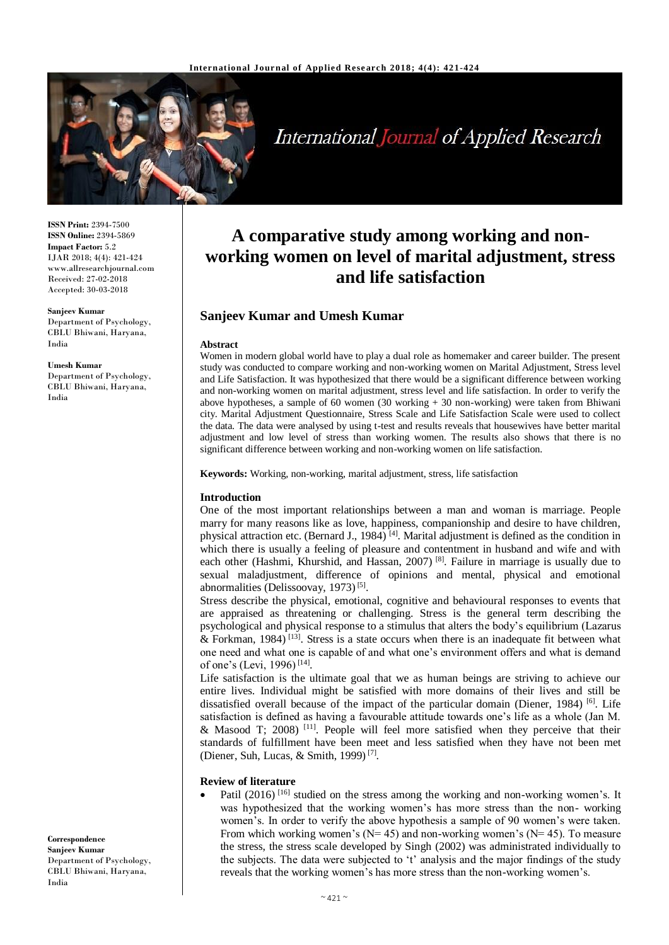

# **International Journal of Applied Research**

**ISSN Print:** 2394-7500 **ISSN Online:** 2394-5869 **Impact Factor:** 5.2 IJAR 2018; 4(4): 421-424 www.allresearchjournal.com Received: 27-02-2018 Accepted: 30-03-2018

#### **Sanjeev Kumar**

Department of Psychology, CBLU Bhiwani, Haryana, India

#### **Umesh Kumar**

Department of Psychology, CBLU Bhiwani, Haryana, India

#### **Correspondence Sanjeev Kumar** Department of Psychology, CBLU Bhiwani, Haryana, India

# **A comparative study among working and nonworking women on level of marital adjustment, stress and life satisfaction**

# **Sanjeev Kumar and Umesh Kumar**

#### **Abstract**

Women in modern global world have to play a dual role as homemaker and career builder. The present study was conducted to compare working and non-working women on Marital Adjustment, Stress level and Life Satisfaction. It was hypothesized that there would be a significant difference between working and non-working women on marital adjustment, stress level and life satisfaction. In order to verify the above hypotheses, a sample of 60 women  $(30 \text{ working} + 30 \text{ non}-working)$  were taken from Bhiwani city. Marital Adjustment Questionnaire, Stress Scale and Life Satisfaction Scale were used to collect the data. The data were analysed by using t-test and results reveals that housewives have better marital adjustment and low level of stress than working women. The results also shows that there is no significant difference between working and non-working women on life satisfaction.

**Keywords:** Working, non-working, marital adjustment, stress, life satisfaction

#### **Introduction**

One of the most important relationships between a man and woman is marriage. People marry for many reasons like as love, happiness, companionship and desire to have children, physical attraction etc. (Bernard J., 1984)  $^{[4]}$ . Marital adjustment is defined as the condition in which there is usually a feeling of pleasure and contentment in husband and wife and with each other (Hashmi, Khurshid, and Hassan, 2007)<sup>[8]</sup>. Failure in marriage is usually due to sexual maladjustment, difference of opinions and mental, physical and emotional abnormalities (Delissoovay, 1973)<sup>[5]</sup>.

Stress describe the physical, emotional, cognitive and behavioural responses to events that are appraised as threatening or challenging. Stress is the general term describing the psychological and physical response to a stimulus that alters the body's equilibrium (Lazarus & Forkman, 1984)<sup>[13]</sup>. Stress is a state occurs when there is an inadequate fit between what one need and what one is capable of and what one's environment offers and what is demand of one's (Levi, 1996)<sup>[14]</sup>.

Life satisfaction is the ultimate goal that we as human beings are striving to achieve our entire lives. Individual might be satisfied with more domains of their lives and still be dissatisfied overall because of the impact of the particular domain (Diener, 1984)<sup>[6]</sup>. Life satisfaction is defined as having a favourable attitude towards one's life as a whole (Jan M. & Masood T; 2008)<sup>[11]</sup>. People will feel more satisfied when they perceive that their standards of fulfillment have been meet and less satisfied when they have not been met (Diener, Suh, Lucas, & Smith, 1999) [7] .

#### **Review of literature**

• Patil  $(2016)$ <sup>[16]</sup> studied on the stress among the working and non-working women's. It was hypothesized that the working women's has more stress than the non- working women's. In order to verify the above hypothesis a sample of 90 women's were taken. From which working women's ( $N= 45$ ) and non-working women's ( $N= 45$ ). To measure the stress, the stress scale developed by Singh (2002) was administrated individually to the subjects. The data were subjected to 't' analysis and the major findings of the study reveals that the working women's has more stress than the non-working women's.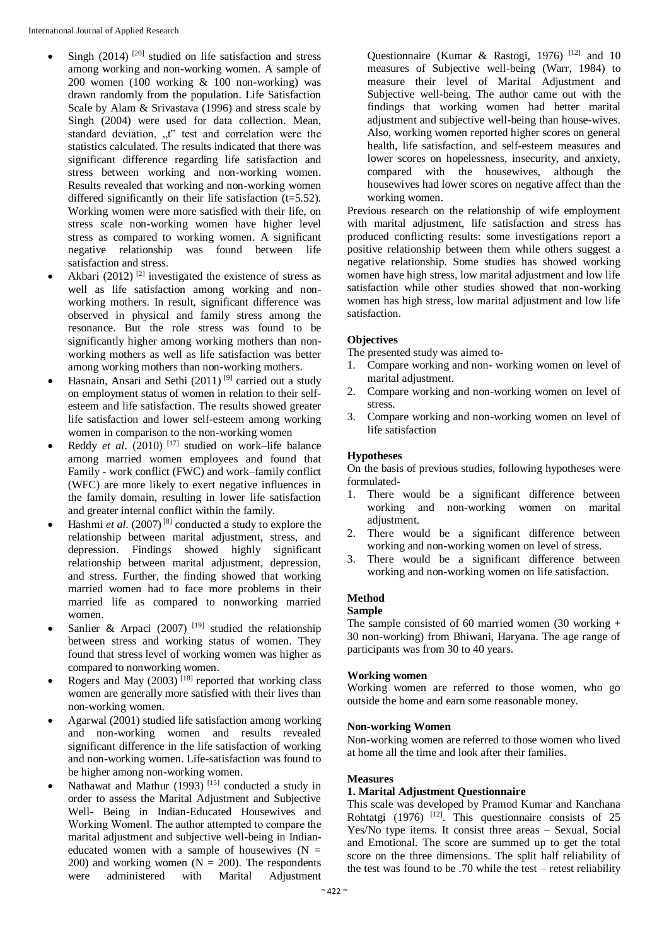- Singh  $(2014)$ <sup>[20]</sup> studied on life satisfaction and stress among working and non-working women. A sample of 200 women (100 working & 100 non-working) was drawn randomly from the population. Life Satisfaction Scale by Alam & Srivastava (1996) and stress scale by Singh (2004) were used for data collection. Mean, standard deviation, "t" test and correlation were the statistics calculated. The results indicated that there was significant difference regarding life satisfaction and stress between working and non-working women. Results revealed that working and non-working women differed significantly on their life satisfaction (t=5.52). Working women were more satisfied with their life, on stress scale non-working women have higher level stress as compared to working women. A significant negative relationship was found between life satisfaction and stress.
- Akbari (2012)<sup>[2]</sup> investigated the existence of stress as well as life satisfaction among working and nonworking mothers. In result, significant difference was observed in physical and family stress among the resonance. But the role stress was found to be significantly higher among working mothers than nonworking mothers as well as life satisfaction was better among working mothers than non-working mothers.
- Hasnain, Ansari and Sethi  $(2011)^{9}$  carried out a study on employment status of women in relation to their selfesteem and life satisfaction. The results showed greater life satisfaction and lower self-esteem among working women in comparison to the non-working women
- Reddy *et al.* (2010)<sup>[17]</sup> studied on work–life balance among married women employees and found that Family - work conflict (FWC) and work–family conflict (WFC) are more likely to exert negative influences in the family domain, resulting in lower life satisfaction and greater internal conflict within the family.
- $\bullet$  Hashmi *et al.* (2007)<sup>[8]</sup> conducted a study to explore the relationship between marital adjustment, stress, and depression. Findings showed highly significant relationship between marital adjustment, depression, and stress. Further, the finding showed that working married women had to face more problems in their married life as compared to nonworking married women.
- Sanlier & Arpaci (2007)<sup>[19]</sup> studied the relationship between stress and working status of women. They found that stress level of working women was higher as compared to nonworking women.
- Rogers and May  $(2003)$ <sup>[18]</sup> reported that working class women are generally more satisfied with their lives than non-working women.
- Agarwal (2001) studied life satisfaction among working and non-working women and results revealed significant difference in the life satisfaction of working and non-working women. Life-satisfaction was found to be higher among non-working women.
- Nathawat and Mathur (1993)<sup>[15]</sup> conducted a study in order to assess the Marital Adjustment and Subjective Well- Being in Indian-Educated Housewives and Working Women‖. The author attempted to compare the marital adjustment and subjective well-being in Indianeducated women with a sample of housewives  $(N =$ 200) and working women ( $N = 200$ ). The respondents were administered with Marital Adjustment

Questionnaire (Kumar & Rastogi, 1976)<sup>[12]</sup> and 10 measures of Subjective well-being (Warr, 1984) to measure their level of Marital Adjustment and Subjective well-being. The author came out with the findings that working women had better marital adjustment and subjective well-being than house-wives. Also, working women reported higher scores on general health, life satisfaction, and self-esteem measures and lower scores on hopelessness, insecurity, and anxiety, compared with the housewives, although the housewives had lower scores on negative affect than the working women.

Previous research on the relationship of wife employment with marital adjustment, life satisfaction and stress has produced conflicting results: some investigations report a positive relationship between them while others suggest a negative relationship. Some studies has showed working women have high stress, low marital adjustment and low life satisfaction while other studies showed that non-working women has high stress, low marital adjustment and low life satisfaction.

# **Objectives**

The presented study was aimed to-

- 1. Compare working and non- working women on level of marital adjustment.
- 2. Compare working and non-working women on level of stress.
- 3. Compare working and non-working women on level of life satisfaction

# **Hypotheses**

On the basis of previous studies, following hypotheses were formulated-

- 1. There would be a significant difference between working and non-working women on marital adjustment.
- 2. There would be a significant difference between working and non-working women on level of stress.
- 3. There would be a significant difference between working and non-working women on life satisfaction.

# **Method**

#### **Sample**

The sample consisted of 60 married women  $(30 \text{ working} +$ 30 non-working) from Bhiwani, Haryana. The age range of participants was from 30 to 40 years.

# **Working women**

Working women are referred to those women, who go outside the home and earn some reasonable money.

# **Non-working Women**

Non-working women are referred to those women who lived at home all the time and look after their families.

# **Measures**

# **1. Marital Adjustment Questionnaire**

This scale was developed by Pramod Kumar and Kanchana Rohtatgi (1976) <sup>[12]</sup>. This questionnaire consists of 25 Yes/No type items. It consist three areas – Sexual, Social and Emotional. The score are summed up to get the total score on the three dimensions. The split half reliability of the test was found to be .70 while the test – retest reliability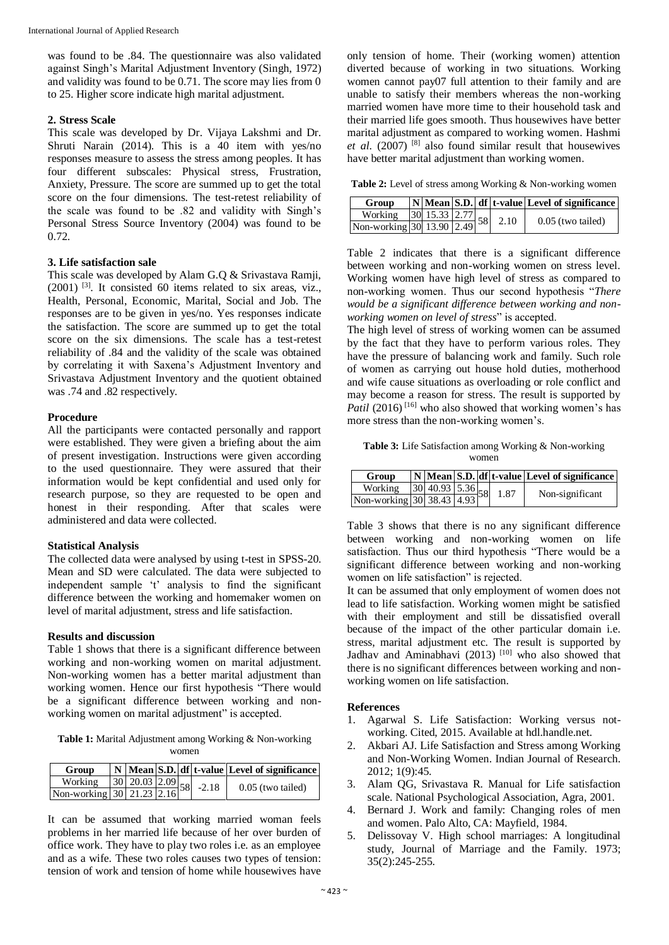was found to be .84. The questionnaire was also validated against Singh's Marital Adjustment Inventory (Singh, 1972) and validity was found to be 0.71. The score may lies from 0 to 25. Higher score indicate high marital adjustment.

# **2. Stress Scale**

This scale was developed by Dr. Vijaya Lakshmi and Dr. Shruti Narain (2014). This is a 40 item with yes/no responses measure to assess the stress among peoples. It has four different subscales: Physical stress, Frustration, Anxiety, Pressure. The score are summed up to get the total score on the four dimensions. The test-retest reliability of the scale was found to be .82 and validity with Singh's Personal Stress Source Inventory (2004) was found to be 0.72.

## **3. Life satisfaction sale**

This scale was developed by Alam G.Q & Srivastava Ramji,  $(2001)$  <sup>[3]</sup>. It consisted 60 items related to six areas, viz., Health, Personal, Economic, Marital, Social and Job. The responses are to be given in yes/no. Yes responses indicate the satisfaction. The score are summed up to get the total score on the six dimensions. The scale has a test-retest reliability of .84 and the validity of the scale was obtained by correlating it with Saxena's Adjustment Inventory and Srivastava Adjustment Inventory and the quotient obtained was .74 and .82 respectively.

## **Procedure**

All the participants were contacted personally and rapport were established. They were given a briefing about the aim of present investigation. Instructions were given according to the used questionnaire. They were assured that their information would be kept confidential and used only for research purpose, so they are requested to be open and honest in their responding. After that scales were administered and data were collected.

#### **Statistical Analysis**

The collected data were analysed by using t-test in SPSS-20. Mean and SD were calculated. The data were subjected to independent sample 't' analysis to find the significant difference between the working and homemaker women on level of marital adjustment, stress and life satisfaction.

#### **Results and discussion**

Table 1 shows that there is a significant difference between working and non-working women on marital adjustment. Non-working women has a better marital adjustment than working women. Hence our first hypothesis "There would be a significant difference between working and nonworking women on marital adjustment" is accepted.

**Table 1:** Marital Adjustment among Working & Non-working women

| Group                                                                |  |  |  | N Mean S.D. df t-value Level of significance |
|----------------------------------------------------------------------|--|--|--|----------------------------------------------|
| Working 30 20.03 2.09 58 -2.18<br>Non-working 30 21.23 2.16 58 -2.18 |  |  |  | $0.05$ (two tailed)                          |
|                                                                      |  |  |  |                                              |

It can be assumed that working married woman feels problems in her married life because of her over burden of office work. They have to play two roles i.e. as an employee and as a wife. These two roles causes two types of tension: tension of work and tension of home while housewives have only tension of home. Their (working women) attention diverted because of working in two situations. Working women cannot pay07 full attention to their family and are unable to satisfy their members whereas the non-working married women have more time to their household task and their married life goes smooth. Thus housewives have better marital adjustment as compared to working women. Hashmi *et al*. (2007) [8] also found similar result that housewives have better marital adjustment than working women.

**Table 2:** Level of stress among Working & Non-working women

| Group                                                    |  |  |      | $ N $ Mean S.D. df t-value Level of significance |
|----------------------------------------------------------|--|--|------|--------------------------------------------------|
| Working 30 15.33 2.77 58<br>Non-working 30 13.90 2.49 58 |  |  | 2.10 | $0.05$ (two tailed)                              |
|                                                          |  |  |      |                                                  |

Table 2 indicates that there is a significant difference between working and non-working women on stress level. Working women have high level of stress as compared to non-working women. Thus our second hypothesis "*There would be a significant difference between working and nonworking women on level of stress*" is accepted.

The high level of stress of working women can be assumed by the fact that they have to perform various roles. They have the pressure of balancing work and family. Such role of women as carrying out house hold duties, motherhood and wife cause situations as overloading or role conflict and may become a reason for stress. The result is supported by *Patil* (2016)<sup>[16]</sup> who also showed that working women's has more stress than the non-working women's.

**Table 3:** Life Satisfaction among Working & Non-working women

| Group                                                 |  |  |      | N   Mean   S.D. df   t-value   Level of significance |
|-------------------------------------------------------|--|--|------|------------------------------------------------------|
| Working 30 40.93 5.36 58<br>Non-working 30 38.43 4.93 |  |  | 1.87 | Non-significant                                      |
|                                                       |  |  |      |                                                      |

Table 3 shows that there is no any significant difference between working and non-working women on life satisfaction. Thus our third hypothesis "There would be a significant difference between working and non-working women on life satisfaction" is rejected.

It can be assumed that only employment of women does not lead to life satisfaction. Working women might be satisfied with their employment and still be dissatisfied overall because of the impact of the other particular domain i.e. stress, marital adjustment etc. The result is supported by Jadhav and Aminabhavi (2013)<sup>[10]</sup> who also showed that there is no significant differences between working and nonworking women on life satisfaction.

# **References**

- 1. Agarwal S. Life Satisfaction: Working versus notworking. Cited, 2015. Available at hdl.handle.net.
- 2. Akbari AJ. Life Satisfaction and Stress among Working and Non-Working Women. Indian Journal of Research. 2012; 1(9):45.
- 3. Alam QG, Srivastava R. Manual for Life satisfaction scale. National Psychological Association, Agra, 2001.
- 4. Bernard J. Work and family: Changing roles of men and women. Palo Alto, CA: Mayfield, 1984.
- 5. Delissovay V. High school marriages: A longitudinal study, Journal of Marriage and the Family. 1973; 35(2):245-255.